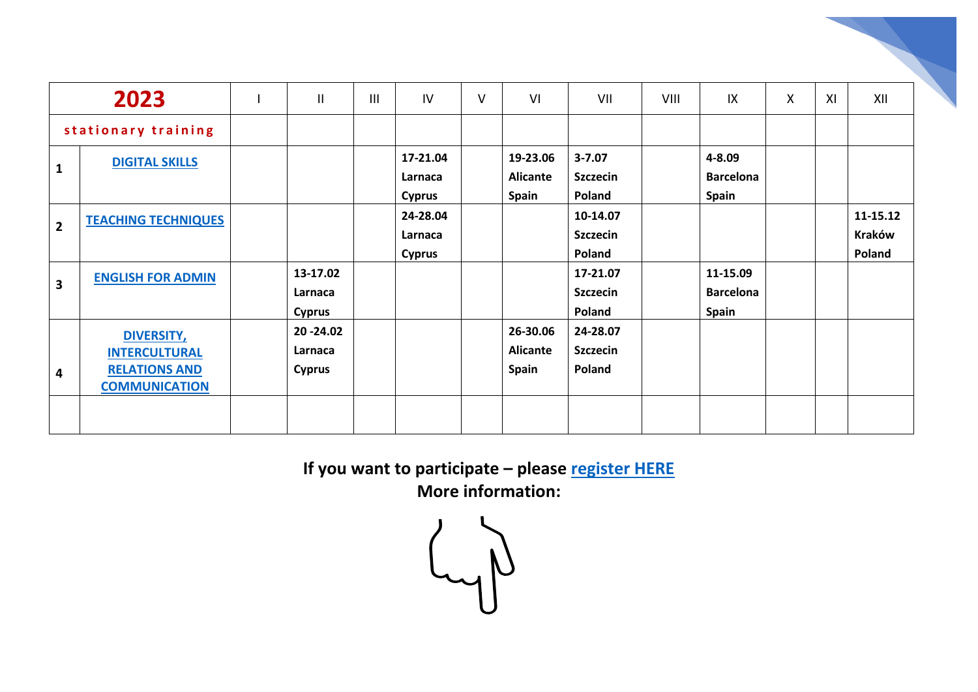| 2023                |                                                                                           | $\mathbf{II}$                          | $\mathbf{III}$ | IV                                   | $\vee$ | VI                                          | VII                                            | VIII | IX                                           | X | XI | XII                          |
|---------------------|-------------------------------------------------------------------------------------------|----------------------------------------|----------------|--------------------------------------|--------|---------------------------------------------|------------------------------------------------|------|----------------------------------------------|---|----|------------------------------|
| stationary training |                                                                                           |                                        |                |                                      |        |                                             |                                                |      |                                              |   |    |                              |
| 1                   | <b>DIGITAL SKILLS</b>                                                                     |                                        |                | 17-21.04<br>Larnaca<br><b>Cyprus</b> |        | 19-23.06<br><b>Alicante</b><br>Spain        | $3 - 7.07$<br><b>Szczecin</b><br><b>Poland</b> |      | 4-8.09<br><b>Barcelona</b><br><b>Spain</b>   |   |    |                              |
| $\overline{2}$      | <b>TEACHING TECHNIQUES</b>                                                                |                                        |                | 24-28.04<br>Larnaca<br><b>Cyprus</b> |        |                                             | 10-14.07<br><b>Szczecin</b><br><b>Poland</b>   |      |                                              |   |    | 11-15.12<br>Kraków<br>Poland |
| 3                   | <b>ENGLISH FOR ADMIN</b>                                                                  | 13-17.02<br>Larnaca<br><b>Cyprus</b>   |                |                                      |        |                                             | 17-21.07<br><b>Szczecin</b><br>Poland          |      | 11-15.09<br><b>Barcelona</b><br><b>Spain</b> |   |    |                              |
| 4                   | <b>DIVERSITY,</b><br><b>INTERCULTURAL</b><br><b>RELATIONS AND</b><br><b>COMMUNICATION</b> | 20 - 24.02<br>Larnaca<br><b>Cyprus</b> |                |                                      |        | 26-30.06<br><b>Alicante</b><br><b>Spain</b> | 24-28.07<br><b>Szczecin</b><br>Poland          |      |                                              |   |    |                              |
|                     |                                                                                           |                                        |                |                                      |        |                                             |                                                |      |                                              |   |    |                              |

**If you want to participate – please [register HERE](https://docs.google.com/forms/d/e/1FAIpQLSf6miCOFcabLTvdw5Eu9gXCSqwGPk25P6YPYPTBzh1ZGYW1RA/viewform)**

**More information:**